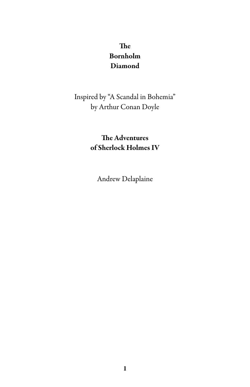### The Bornholm Diamond

### Inspired by "A Scandal in Bohemia" by Arthur Conan Doyle

### The Adventures of Sherlock Holmes IV

Andrew Delaplaine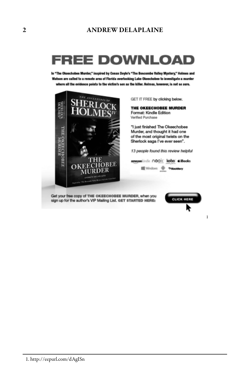# FREE DOWNLOAD

In "The Okeechobes Murder," inspired by Conan Deyle's "The Bescombe Valley Mystery," Holmes and Watson are called to a remote area of Florida overlooking Lake Okeechobee to investigate a murder where all the evidence points to the victim's son as the killer. Holmes, however, is not so sure.



GET IT FREE by clicking below.

THE OKEECHOBEE MURDER Format: Kindle Edition Verified Purchase

\*I just finished The Okeechobee Murder, and thought it had one of the most original twists on the Sherlock saga I've ever seen".

13 people found this review helpful

amazoniindle nook kobo diBooks 

Get your free copy of THE OKEECHOBEE MURDER, when you sign up for the author's VIP Mailing List. GET STARTED HERE:



1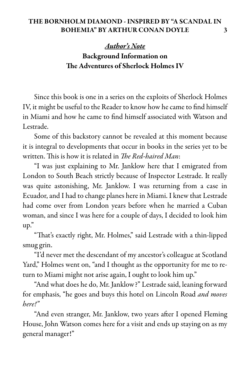*Author's Note* Background Information on The Adventures of Sherlock Holmes IV

Since this book is one in a series on the exploits of Sherlock Holmes IV, it might be useful to the Reader to know how he came to find himself in Miami and how he came to find himself associated with Watson and Lestrade.

Some of this backstory cannot be revealed at this moment because it is integral to developments that occur in books in the series yet to be written. This is how it is related in *The Red-haired Man*:

"I was just explaining to Mr. Janklow here that I emigrated from London to South Beach strictly because of Inspector Lestrade. It really was quite astonishing, Mr. Janklow. I was returning from a case in Ecuador, and I had to change planes here in Miami. I knew that Lestrade had come over from London years before when he married a Cuban woman, and since I was here for a couple of days, I decided to look him up."

"That's exactly right, Mr. Holmes," said Lestrade with a thin-lipped smug grin.

"I'd never met the descendant of my ancestor's colleague at Scotland Yard," Holmes went on, "and I thought as the opportunity for me to return to Miami might not arise again, I ought to look him up."

"And what does he do, Mr. Janklow?" Lestrade said, leaning forward for emphasis, "he goes and buys this hotel on Lincoln Road and moves here!"

"And even stranger, Mr. Janklow, two years after I opened Fleming House, John Watson comes here for a visit and ends up staying on as my general manager!"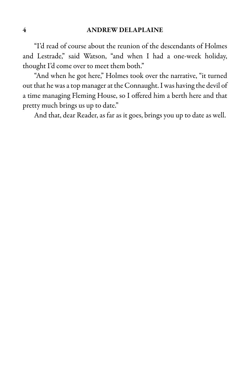"I'd read of course about the reunion of the descendants of Holmes and Lestrade," said Watson, "and when I had a one-week holiday, thought I'd come over to meet them both."

"And when he got here," Holmes took over the narrative, "it turned out that he was a top manager at the Connaught. I was having the devil of a time managing Fleming House, so I offered him a berth here and that pretty much brings us up to date."

And that, dear Reader, as far as it goes, brings you up to date as well.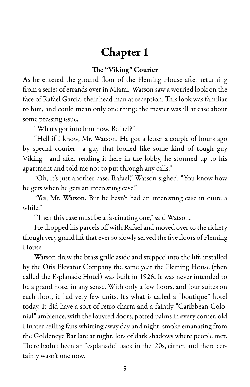### Chapter 1

#### The "Viking" Courier

As he entered the ground floor of the Fleming House after returning from aseries oferrands over in Miami, Watson saw a worried look on the face of Rafael Garcia, their head man at reception. This look was familiar to him, and could mean only one thing: the master was ill at ease about some pressing issue.

"What's got into him now, Rafael?"

"Hell if I know, Mr. Watson. He got a letter a couple of hours ago by special courier—a guy that looked like some kind of tough guy Viking—and after reading it here in the lobby, he stormed up to his apartment and told me not to put through any calls."

"Oh, it's just another case, Rafael," Watson sighed. "You know how he gets when he gets an interesting case."

"Yes, Mr. Watson. But he hasn't had an interesting case in quite a while."

"Then this case must be a fascinating one," said Watson.

He dropped his parcels off with Rafael and moved over to the rickety though very grand lift that ever so slowly served the five floors of Fleming House.

Watson drew the brass grille aside and stepped into the lift, installed by the Otis Elevator Company the same year the Fleming House (then called the Esplanade Hotel) was built in 1926. It was never intended to be a grand hotel in any sense. With only a few floors, and four suites on each floor, it had very few units. It's what is called a "boutique" hotel today. It did have a sort of retro charm and a faintly "Caribbean Colonial" ambience, with the louvred doors, potted palms in every corner, old Hunter ceiling fans whirring away day and night, smoke emanating from the Goldeneye Bar late at night, lots of dark shadows where people met. There hadn't been an "esplanade" back in the '20s, either, and there certainly wasn't one now.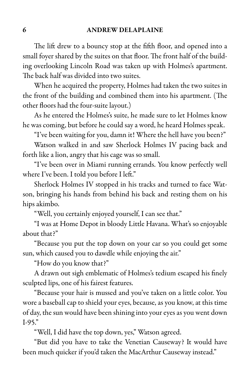The lift drew to a bouncy stop at the fifth floor, and opened into a small foyer shared by the suites on that floor. The front half of the building overlooking Lincoln Road was taken up with Holmes's apartment. The back half was divided into two suites.

When he acquired the property, Holmes had taken the two suites in the front of the building and combined them into his apartment. (The other floors had the four-suite layout.)

As he entered the Holmes's suite, he made sure to let Holmes know he was coming, but before he could say a word, he heard Holmes speak.

"I've been waiting for you, damn it! Where the hell have you been?"

Watson walked in and saw Sherlock Holmes IV pacing back and forth like a lion, angry that his cage was so small.

"I've been over in Miami running errands. You know perfectly well where I've been. I told you before I left."

Sherlock Holmes IV stopped in his tracks and turned to face Watson, bringing his hands from behind his back and resting them on his hips akimbo.

"Well, you certainly enjoyed yourself, I can see that."

"I was at Home Depot in bloody Little Havana. What's so enjoyable about that?"

"Because you put the top down on your car so you could get some sun, which caused you to dawdle while enjoying the air."

"How do you know that?"

A drawn out sigh emblematic of Holmes's tedium escaped his finely sculpted lips, one of his fairest features.

"Because your hair is mussed and you've taken on a little color. You wore a baseball cap to shield your eyes, because, as you know, at this time of day, the sun would have been shining into your eyes as you went down I-95."

"Well, I did have the top down, yes," Watson agreed.

"But did you have to take the Venetian Causeway? It would have been much quicker if you'd taken the MacArthur Causeway instead."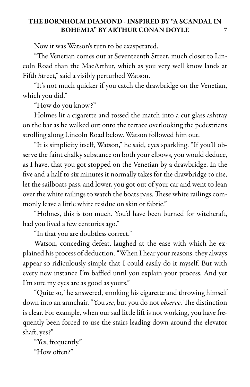Now it was Watson's turn to be exasperated.

"The Venetian comes out at Seventeenth Street, much closer to Lincoln Road than the MacArthur, which as you very well know lands at Fifth Street," said a visibly perturbed Watson.

"It's not much quicker if you catch the drawbridge on the Venetian, which you did."

"How do you know?"

Holmes lit a cigarette and tossed the match into a cut glass ashtray on the bar as he walked out onto the terrace overlooking the pedestrians strolling along Lincoln Road below. Watson followed him out.

"It is simplicity itself, Watson," he said, eyes sparkling. "If you'll observe the faint chalky substance on both your elbows, you would deduce, as I have, that you got stopped on the Venetian by a drawbridge. In the five and a half to six minutes it normally takes for the drawbridge to rise, let the sailboats pass, and lower, you got out of your car and went to lean over the white railings to watch the boats pass. These white railings commonly leave a little white residue on skin or fabric."

"Holmes, this is too much. You'd have been burned for witchcraft, had you lived a few centuries ago."

"In that you are doubtless correct."

Watson, conceding defeat, laughed at the ease with which he explained hisprocess of deduction."When I hear your reasons, they always appear so ridiculously simple that I could easily do it myself. But with every new instance I'm baffled until you explain your process. And yet I'm sure my eyes are as good as yours."

"Quite so," he answered, smoking his cigarette and throwing himself down into an armchair. "You see, but you do not observe. The distinction is clear. For example, when our sad little lift is not working, you have frequently been forced to use the stairs leading down around the elevator shaft, yes?"

"Yes, frequently." "How often?"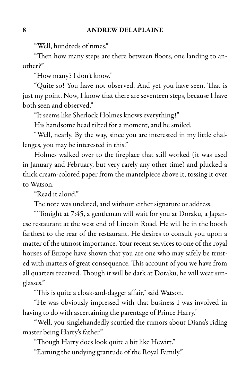"Well, hundreds of times."

"Then how many steps are there between floors, one landing to another?"

"How many? I don't know."

"Quite so! You have not observed. And yet you have seen. That is just my point. Now, I know that there are seventeen steps, because I have both seen and observed."

"It seems like Sherlock Holmes knows everything!"

His handsome head tilted for a moment, and he smiled.

"Well, nearly. By the way, since you are interested in my little challenges, you may be interested in this."

Holmes walked over to the fireplace that still worked (it was used in January and February, but very rarely any other time) and plucked a thick cream-colored paper from the mantelpiece above it, tossing it over to Watson.

"Read it aloud."

The note was undated, and without either signature or address.

"'Tonight at 7:45, a gentleman will wait for you at Doraku, a Japanese restaurant at the west end of Lincoln Road. He will be in the booth farthest to the rear of the restaurant. He desires to consult you upon a matter of the utmost importance. Your recent services to one of the royal houses of Europe have shown that you are one who may safely be trusted with matters of great consequence. This account of you we have from all quarters received. Though it will be dark at Doraku, he will wear sunglasses."

"This is quite a cloak-and-dagger affair," said Watson.

"He was obviously impressed with that business I was involved in having to do with ascertaining the parentage of Prince Harry."

"Well, you singlehandedly scuttled the rumors about Diana's riding master being Harry's father."

"Though Harry does look quite a bit like Hewitt."

"Earning the undying gratitude of the Royal Family."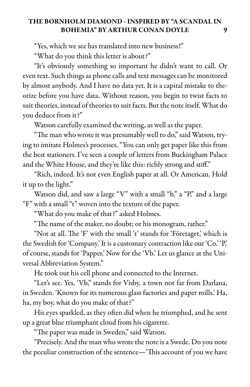"Yes, which we see has translated into new business!"

"What do you think this letter is about?"

"It's obviously something so important he didn't want to call. Or even text. Such things as phone calls and text messages can be monitored by almost anybody. And I have no data yet. It is a capital mistake to theorize before you have data. Without reason, you begin to twist facts to suit theories, instead of theories to suit facts. But the note itself. What do you deduce from it?"

Watson carefully examined the writing, as well as the paper.

"The man who wrote it was presumably well to do," said Watson, trying to imitate Holmes's processes. "You can only get paper like this from the best stationers. I've seen a couple of letters from Buckingham Palace and the White House, and they're like this: richly strong and stiff."

"Rich, indeed. It's not even English paper at all. Or American. Hold it up to the light."

Watson did, and saw a large "V" with a small "b," a "P," and a large "F" with a small "t" woven into the texture of the paper.

"What do you make of that?" asked Holmes.

"The name of the maker, no doubt; or his monogram, rather."

"Not at all. The 'F' with the small 't' stands for 'Företaget,' which is the Swedish for 'Company.' It isacustomary contraction like our 'Co.' 'P,' of course, stands for 'Papper.' Now for the 'Vb.' Let us glance at the Universal Abbreviation System."

He took out his cell phone and connected to the Internet.

"Let's see. Yes, 'Vb," stands for Visby, a town not far from Darlana, in Sweden. 'Known for its numerous glass factories and paper mills.' Ha, ha, my boy, what do you make of that?"

His eyes sparkled, as they often did when he triumphed, and he sent up a great blue triumphant cloud from his cigarette.

"The paper was made in Sweden," said Watson.

"Precisely. And the man who wrote the note is a Swede. Do you note the peculiar construction of the sentence—'This account of you we have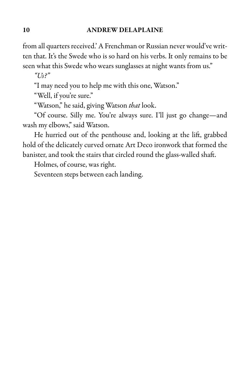#### 10 ANDREW DELAPLAINE

from all quarters received.' A Frenchman or Russian never would've written that. It's the Swede who is so hard on his verbs. It only remains to be seen what this Swede who wears sunglasses at night wants from us."

 $"Us?"$ 

"I may need you to help me with this one, Watson."

"Well, if you're sure."

"Watson," he said, giving Watson that look.

"Of course. Silly me. You're always sure. I'll just go change—and wash my elbows," said Watson.

He hurried out of the penthouse and, looking at the lift, grabbed hold of the delicately curved ornate Art Deco ironwork that formed the banister, and took the stairs that circled round the glass-walled shaft.

Holmes, of course, was right.

Seventeen steps between each landing.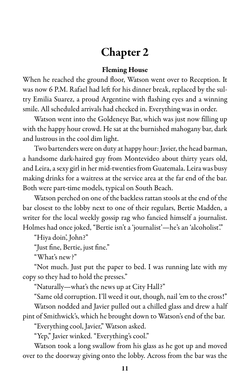# Chapter 2

#### Fleming House

When he reached the ground floor, Watson went over to Reception. It was now 6 P.M. Rafael had left for his dinner break, replaced by the sultry Emilia Suarez, a proud Argentine with flashing eyes and a winning smile. All scheduled arrivals had checked in. Everything was in order.

Watson went into the Goldeneye Bar, which was just now filling up with the happy hour crowd. He sat at the burnished mahogany bar, dark and lustrous in the cool dim light.

Two bartenders were on duty at happy hour: Javier, the head barman, a handsome dark-haired guy from Montevideo about thirty years old, and Leira, a sexy girl in her mid-twenties from Guatemala. Leira was busy making drinks for a waitress at the service area at the far end of the bar. Both were part-time models, typical on South Beach.

Watson perched on one of the backless rattan stools at the end of the bar closest to the lobby next to one of their regulars, Bertie Madden, a writer for the local weekly gossip rag who fancied himself a journalist. Holmes had once joked, "Bertie isn't a 'journalist'—he's an 'alcoholist'."

"Hiya doin', John?"

"Just fine, Bertie, just fine."

"What's new?"

"Not much. Just put the paper to bed. I was running late with my copy so they had to hold the presses."

"Naturally—what's the news up at City Hall?"

"Same old corruption. I'll weed it out, though, nail 'em to the cross!"

Watson nodded and Javier pulled out a chilled glass and drew a half pint of Smithwick's, which he brought down to Watson's end of the bar.

"Everything cool, Javier," Watson asked.

"Yep," Javier winked. "Everything's cool."

Watson took a long swallow from his glass as he got up and moved over to the doorway giving onto the lobby. Across from the bar was the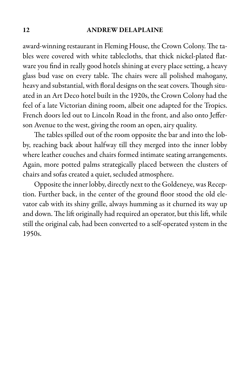#### 12 ANDREW DELAPLAINE

award-winning restaurant in Fleming House, the Crown Colony. The tables were covered with white tablecloths, that thick nickel-plated flatware you find in really good hotels shining at every place setting, a heavy glass bud vase on every table. The chairs were all polished mahogany, heavy and substantial, with floral designs on the seat covers. Though situated in an Art Deco hotel built in the 1920s, the Crown Colony had the feel of a late Victorian dining room, albeit one adapted for the Tropics. French doors led out to Lincoln Road in the front, and also onto Jefferson Avenue to the west, giving the room an open, airy quality.

The tables spilled out of the room opposite the bar and into the lobby, reaching back about halfway till they merged into the inner lobby where leather couches and chairs formed intimate seating arrangements. Again, more potted palms strategically placed between the clusters of chairs and sofas created a quiet, secluded atmosphere.

Opposite the inner lobby, directly next to the Goldeneye, was Reception. Further back, in the center of the ground floor stood the old elevator cab with its shiny grille, always humming as it churned its way up and down. The lift originally had required an operator, but this lift, while still the original cab, had been converted to a self-operated system in the 1950s.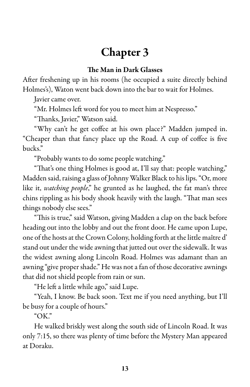# Chapter 3

#### The Man in Dark Glasses

After freshening up in his rooms (he occupied a suite directly behind Holmes's), Waton went back down into the bar to wait for Holmes.

Javier came over.

"Mr. Holmes left word for you to meet him at Nespresso."

"Thanks, Javier," Watson said.

"Why can't he get coffee at his own place?" Madden jumped in. "Cheaper than that fancy place up the Road. A cup of coffee is five bucks."

"Probably wants to do some people watching."

"That's one thing Holmes is good at, I'll say that: people watching," Madden said, raising a glass of Johnny Walker Black to his lips."Or, more like it, *watching people*," he grunted as he laughed, the fat man's three chins rippling as his body shook heavily with the laugh. "That man sees things nobody else sees."

"This is true," said Watson, giving Madden a clap on the back before heading out into the lobby and out the front door. He came upon Lupe, one of the hostsat the Crown Colony, holding forth at thelittle maître d' stand out under the wide awning that jutted out over the sidewalk. It was the widest awning along Lincoln Road. Holmes was adamant than an awning "give proper shade." He was not a fan of those decorative awnings that did not shield people from rain or sun.

"He left a little while ago," said Lupe.

"Yeah, I know. Be back soon. Text me if you need anything, but I'll be busy for a couple of hours."

" $OK$ ."

He walked briskly west along the south side of Lincoln Road. It was only 7:15, so there was plenty of time before the Mystery Man appeared at Doraku.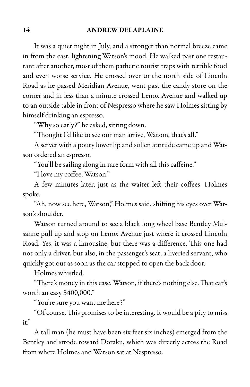#### 14 ANDREW DELAPLAINE

It was a quiet night in July, and a stronger than normal breeze came in from the east, lightening Watson's mood. He walked past one restaurant after another, most of them pathetic tourist traps with terrible food and even worse service. He crossed over to the north side of Lincoln Road as he passed Meridian Avenue, went past the candy store on the corner and in less than a minute crossed Lenox Avenue and walked up to an outside table in front of Nespresso where he saw Holmes sitting by himself drinking an espresso.

"Why so early?" he asked, sitting down.

"Thought I'd like to see our man arrive, Watson, that's all."

A server with a pouty lower lip and sullen attitude came up and Watson ordered an espresso.

"You'll be sailing along in rare form with all this caffeine."

"I love my coffee, Watson."

A few minutes later, just as the waiter left their coffees, Holmes spoke.

"Ah, now see here, Watson," Holmes said, shifting his eyes over Watson's shoulder.

Watson turned around to see a black long wheel base Bentley Mulsanne pull up and stop on Lenox Avenue just where it crossed Lincoln Road. Yes, it was a limousine, but there was a difference. This one had not only a driver, but also, in the passenger's seat, a liveried servant, who quickly got out as soon as the car stopped to open the back door.

Holmes whistled.

"There's money in this case, Watson, if there's nothing else. That car's worth an easy \$400,000."

"You're sure you want me here?"

"Of course. This promises to be interesting. It would be a pity to miss it."

A tall man (he must have been six feet six inches) emerged from the Bentley and strode toward Doraku, which was directly across the Road from where Holmes and Watson sat at Nespresso.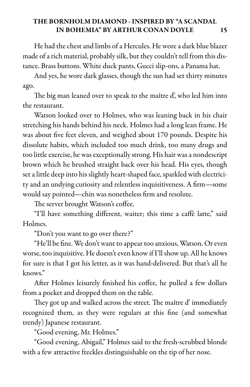He had the chest and limbs of a Hercules. He wore a dark blue blazer made of a rich material, probably silk, but they couldn't tell from this distance. Brass buttons. White duck pants, Gucci slip-ons, a Panama hat.

And yes, he wore dark glasses, though the sun had set thirty minutes ago.

The big man leaned over to speak to the maître d', who led him into the restaurant.

Watson looked over to Holmes, who was leaning back in his chair stretching his hands behind his neck. Holmes had a long lean frame. He was about five feet eleven, and weighed about 170 pounds. Despite his dissolute habits, which included too much drink, too many drugs and too little exercise, he was exceptionally strong. His hair was a nondescript brown which he brushed straight back over his head. His eyes, though setalittle deepinto his slightly heart-shaped face, sparkled with electricity and an undying curiosity and relentless inquisitiveness. A firm—some would say pointed—chin was nonetheless firm and resolute.

The server brought Watson's coffee.

"I'll have something different, waiter; this time a caffè latte," said Holmes.

"Don't you want to go over there?"

"He'll be fine. We don't want to appear too anxious, Watson. Or even worse, too inquisitive. He doesn't even know if I'll show up. All he knows for sure is that I got his letter, as it was hand-delivered. But that's all he knows."

After Holmes leisurely finished his coffee, he pulled a few dollars from a pocket and dropped them on the table.

They got up and walked across the street. The maître d' immediately recognized them, as they were regulars at this fine (and somewhat trendy) Japanese restaurant.

"Good evening, Mr. Holmes."

"Good evening, Abigail," Holmes said to the fresh-scrubbed blonde with a few attractive freckles distinguishable on the tip of her nose.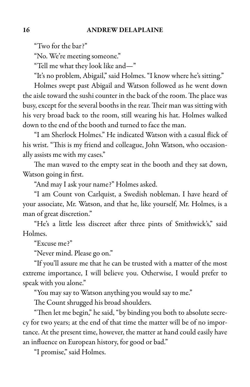"Two for the bar?"

"No. We're meeting someone."

"Tell me what they look like and—"

"It's no problem, Abigail," said Holmes. "I know where he's sitting."

Holmes swept past Abigail and Watson followed as he went down the aisle toward the sushi counter in the back of the room. The place was busy, except for the several booths in the rear. Their man was sitting with his very broad back to the room, still wearing his hat. Holmes walked down to the end of the booth and turned to face the man.

"I am Sherlock Holmes." He indicated Watson with a casual flick of his wrist. "This is my friend and colleague, John Watson, who occasionally assists me with my cases."

The man waved to the empty seat in the booth and they sat down, Watson going in first.

"And may I ask your name?" Holmes asked.

"I am Count von Carlquist, a Swedish nobleman. I have heard of your associate, Mr. Watson, and that he, like yourself, Mr. Holmes, is a man of great discretion."

"He's a little less discreet after three pints of Smithwick's," said Holmes.

"Excuse me?"

"Never mind. Please go on."

"If you'll assure me that he can be trusted with a matter of the most extreme importance, I will believe you. Otherwise, I would prefer to speak with you alone."

"You may say to Watson anything you would say to me."

The Count shrugged his broad shoulders.

"Then let me begin," he said, "by binding you both to absolute secrecy for two years; at the end of that time the matter will be of no importance. At the present time, however, the matter at hand could easily have an influence on European history, for good or bad."

"I promise," said Holmes.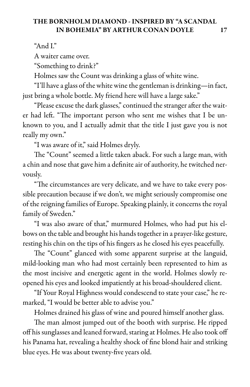"And I."

A waiter came over.

"Something to drink?"

Holmes saw the Count was drinking a glass of white wine.

"I'll havea glass of the white winethe gentleman is drinking—in fact, just bring a whole bottle. My friend here will have a large sake."

"Please excuse the dark glasses," continued the stranger after the waiter had left. "The important person who sent me wishes that I be unknown to you, and I actually admit that the title I just gave you is not really my own."

"I was aware of it," said Holmes dryly.

The "Count" seemed a little taken aback. For such a large man, with a chin and nose that gave him a definite air of authority, he twitched nervously.

"The circumstances are very delicate, and we have to take every possible precaution because if we don't, we might seriously compromise one of the reigning families of Europe. Speaking plainly, it concerns the royal family of Sweden."

"I was also aware of that," murmured Holmes, who had put his elbows on the table and brought his hands together in a prayer-like gesture, resting his chin on the tips of his fingers as he closed his eyes peacefully.

The "Count" glanced with some apparent surprise at the languid, mild-looking man who had most certainly been represented to him as the most incisive and energetic agent in the world. Holmes slowly reopened his eyes and looked impatiently at his broad-shouldered client.

"If Your Royal Highness would condescend to state your case," he remarked, "I would be better able to advise you."

Holmes drained his glass of wine and poured himself another glass.

The man almost jumped out of the booth with surprise. He ripped off his sunglasses and leaned forward, staring at Holmes. He also took off his Panama hat, revealing a healthy shock of fine blond hair and striking blue eyes. He was about twenty-five years old.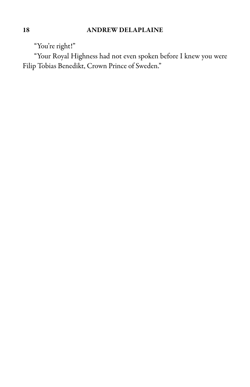"You're right!"

"Your Royal Highness had not even spoken before I knew you were Filip Tobias Benedikt, Crown Prince of Sweden."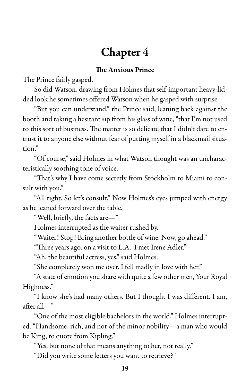# Chapter 4

#### The Anxious Prince

The Prince fairly gasped.

So did Watson, drawing from Holmes that self-important heavy-lidded look he sometimes offered Watson when he gasped with surprise.

"But you can understand," the Prince said, leaning back against the booth and taking a hesitant sip from his glass of wine, "that I'm not used to this sort of business. The matter is so delicate that I didn't dare to entrust it to anyone else without fear of putting myself in a blackmail situation."

"Of course," said Holmes in what Watson thought was an uncharacteristically soothing tone of voice.

"That's why I have come secretly from Stockholm to Miami to consult with you."

"All right. So let's consult." Now Holmes's eyes jumped with energy as he leaned forward over the table.

"Well, briefly, the facts are—"

Holmes interrupted as the waiter rushed by.

"Waiter! Stop! Bring another bottle of wine. Now, go ahead."

"Three years ago, on a visit to L.A., I met Irene Adler."

"Ah, the beautiful actress, yes," said Holmes.

"She completely won me over. I fell madly in love with her."

"A state of emotion you share with quite a few other men, Your Royal Highness."

"I know she's had many others. But I thought I was different. I am, after all—"

"One of the most eligible bachelors in the world," Holmes interrupted. "Handsome, rich, and not of the minor nobility—a man who would be King, to quote from Kipling."

"Yes, but none of that means anything to her, not really."

"Did you write some letters you want to retrieve?"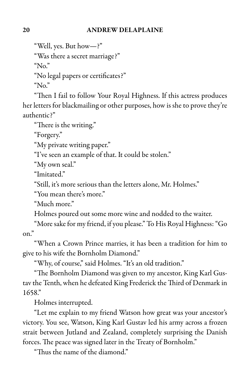#### 20 ANDREW DELAPLAINE

"Well, yes. But how—?"

"Was there a secret marriage?"

"No."

"No legal papers or certificates?"

" $No.$ "

"Then I fail to follow Your Royal Highness. If this actress produces her letters for blackmailing or other purposes, how is she to prove they're authentic?"

"There is the writing."

"Forgery."

"My private writing paper."

"I've seen an example of that. It could be stolen."

"My own seal."

"Imitated."

"Still, it's more serious than the letters alone, Mr. Holmes."

"You mean there's more."

"Much more."

Holmes poured out some more wine and nodded to the waiter.

"More sake for my friend, if you please." To His Royal Highness: "Go on."

"When a Crown Prince marries, it has been a tradition for him to give to his wife the Bornholm Diamond."

"Why, of course," said Holmes. "It's an old tradition."

"The Bornholm Diamond was given to my ancestor, King Karl Gustav the Tenth, when he defeated King Frederick the Third of Denmark in 1658."

Holmes interrupted.

"Let me explain to my friend Watson how great was your ancestor's victory. You see, Watson, King Karl Gustav led his army across a frozen strait between Jutland and Zealand, completely surprising the Danish forces. The peace was signed later in the Treaty of Bornholm."

"Thus the name of the diamond."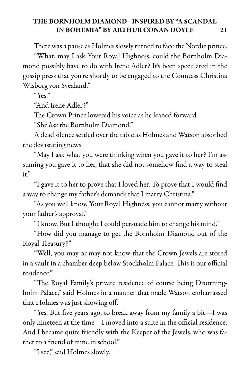There was a pause as Holmes slowly turned to face the Nordic prince.

"What, may I ask Your Royal Highness, could the Bornholm Diamond possibly have to do with Irene Adler? It's been speculated in the gossip press that you're shortly to be engaged to the Countess Christina Wisborg von Svealand."

"Yes."

"And Irene Adler?"

The Crown Prince lowered his voice as he leaned forward.

"She has the Bornholm Diamond."

A dead silence settled over the table as Holmes and Watson absorbed the devastating news.

"May I ask what you were thinking when you gave it to her? I'm assuming you gave it to her, that she did not somehow find a way to steal it."

"I gave it to her to prove that I loved her. To prove that I would find a way to change my father's demands that I marry Christina."

"As you well know, Your Royal Highness, you cannot marry without your father's approval."

"I know. But I thought I could persuade him to change his mind."

"How did you manage to get the Bornholm Diamond out of the Royal Treasury?"

"Well, you may or may not know that the Crown Jewels are stored in a vault in a chamber deep below Stockholm Palace. This is our official residence."

"The Royal Family's private residence of course being Drottningholm Palace," said Holmes in a manner that made Watson embarrassed that Holmes was just showing off.

"Yes. But five years ago, to break away from my family a bit—I was only nineteen at the time—I moved into a suite in the official residence. And I became quite friendly with the Keeper of the Jewels, who was father to a friend of mine in school."

"I see," said Holmes slowly.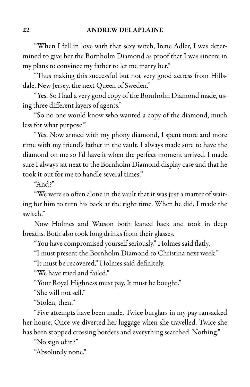"When I fell in love with that sexy witch, Irene Adler, I was determined to give her the Bornholm Diamond as proof that I was sincere in my plans to convince my father to let me marry her."

"Thus making this successful but not very good actress from Hillsdale, New Jersey, the next Queen of Sweden."

"Yes. So I had a very good copy of the Bornholm Diamond made, using three different layers of agents."

"So no one would know who wanted a copy of the diamond, much less for what purpose."

"Yes. Now armed with my phony diamond, I spent more and more time with my friend's father in the vault. I always made sure to have the diamond on me so I'd have it when the perfect moment arrived. I made sure I always sat next to the Bornholm Diamond display case and that he took it out for me to handle several times."

"And $\gamma$ "

"We were so often alone in the vault that it was just a matter of waiting for him to turn his back at the right time. When he did, I made the switch."

Now Holmes and Watson both leaned back and took in deep breaths. Both also took long drinks from their glasses.

"You have compromised yourself seriously," Holmes said flatly.

"I must present the Bornholm Diamond to Christina next week."

"It must be recovered," Holmes said definitely.

"We have tried and failed."

"Your Royal Highness must pay. It must be bought."

"She will not sell."

"Stolen, then."

"Five attempts have been made. Twice burglars in my pay ransacked her house. Once we diverted her luggage when she travelled. Twice she has been stopped crossing borders and everything searched. Nothing."

"No sign of it?"

"Absolutely none."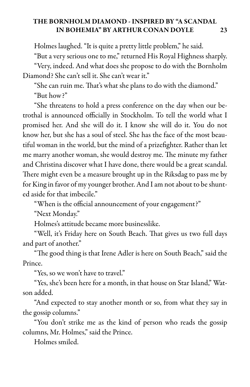Holmes laughed. "It is quite a pretty little problem," he said.

"Buta very serious one to me," returned His Royal Highness sharply.

"Very, indeed. And what does she propose to do with the Bornholm Diamond? She can't sell it. She can't wear it."

"She can ruin me. That's what she plans to do with the diamond." "But how?"

"She threatens to hold a press conference on the day when our betrothal is announced officially in Stockholm. To tell the world what I promised her. And she will do it. I know she will do it. You do not know her, but she has a soul of steel. She has the face of the most beautiful woman in the world, but the mind of a prizefighter. Rather than let me marry another woman, she would destroy me. The minute my father and Christina discover what I have done, there would be a great scandal. There might even be a measure brought up in the Riksdag to pass me by for King in favor of my younger brother. And I am not about to be shunted aside for that imbecile."

"When is the official announcement of your engagement?"

"Next Monday."

Holmes's attitude became more businesslike.

"Well, it's Friday here on South Beach. That gives us two full days and part of another."

"The good thing is that Irene Adler is here on South Beach," said the Prince.

"Yes, so we won't have to travel."

"Yes, she's been here for a month, in that house on Star Island," Watson added.

"And expected to stay another month or so, from what they say in the gossip columns."

"You don't strike me as the kind of person who reads the gossip columns, Mr. Holmes," said the Prince.

Holmes smiled.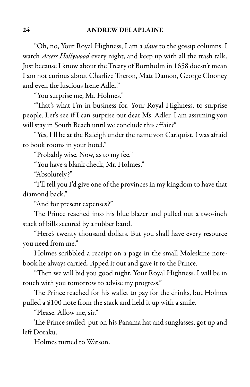"Oh, no, Your Royal Highness, I am a *slave* to the gossip columns. I watch Access Hollywood every night, and keep up with all the trash talk. Just because I know about the Treaty of Bornholm in 1658 doesn't mean I am not curious about Charlize Theron, Matt Damon, George Clooney and even the luscious Irene Adler."

"You surprise me, Mr. Holmes."

"That's what I'm in business for, Your Royal Highness, to surprise people. Let's see if I can surprise our dear Ms. Adler. I am assuming you will stay in South Beach until we conclude this affair?"

"Yes, I'll be at the Raleigh under the name von Carlquist. I was afraid to book rooms in your hotel."

"Probably wise. Now, as to my fee."

"You have a blank check, Mr. Holmes."

"Absolutely?"

"I'll tell you I'd give one of the provinces in my kingdom to have that diamond back."

"And for present expenses?"

The Prince reached into his blue blazer and pulled out a two-inch stack of bills secured by a rubber band.

"Here's twenty thousand dollars. But you shall have every resource you need from me."

Holmes scribbled a receipt on a page in the small Moleskine notebook he always carried, ripped it out and gave it to the Prince.

"Then we will bid you good night, Your Royal Highness. I will be in touch with you tomorrow to advise my progress."

The Prince reached for his wallet to pay for the drinks, but Holmes pulled a \$100 note from the stack and held it up with a smile.

"Please. Allow me, sir."

The Prince smiled, put on his Panama hat and sunglasses, got up and left Doraku.

Holmes turned to Watson.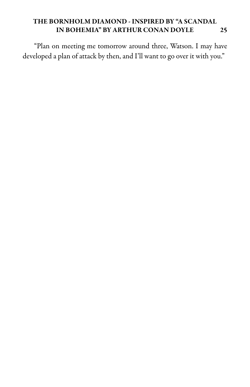"Plan on meeting me tomorrow around three, Watson. I may have developed a plan of attack by then, and I'll want to go over it with you."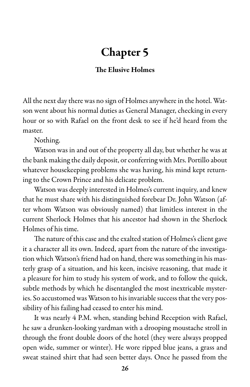### Chapter 5

#### The Elusive Holmes

All the next day there was no sign of Holmes anywhere in the hotel. Watson went about his normal duties as General Manager, checking in every hour or so with Rafael on the front desk to see if he'd heard from the master.

Nothing.

Watson was in and out of the property all day, but whether he was at the bank making the daily deposit, or conferring with Mrs. Portillo about whatever housekeeping problems she was having, his mind kept returning to the Crown Prince and his delicate problem.

Watson was deeply interested in Holmes's current inquiry, and knew that he must share with his distinguished forebear Dr. John Watson (after whom Watson was obviously named) that limitless interest in the current Sherlock Holmes that his ancestor had shown in the Sherlock Holmes of his time.

The nature of this case and the exalted station of Holmes's client gave it a character all its own. Indeed, apart from the nature of the investigation which Watson's friend had on hand, there was something in his masterly grasp of a situation, and his keen, incisive reasoning, that made it a pleasure for him to study his system of work, and to follow the quick, subtle methods by which he disentangled the most inextricable mysteries. So accustomed was Watson to his invariable success that the very possibility of his failing had ceased to enter his mind.

It was nearly 4 P.M. when, standing behind Reception with Rafael, he saw a drunken-looking yardman with a drooping moustache stroll in through the front double doors of the hotel (they were always propped open wide, summer or winter). He wore ripped blue jeans, a grass and sweat stained shirt that had seen better days. Once he passed from the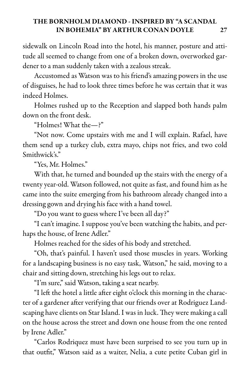sidewalk on Lincoln Road into the hotel, his manner, posture and attitude all seemed to change from one of a broken down, overworked gardener to a man suddenly taken with a zealous streak.

Accustomed as Watson was to his friend's amazing powers in the use of disguises, he had to look three times before he was certain that it was indeed Holmes.

Holmes rushed up to the Reception and slapped both hands palm down on the front desk.

"Holmes! What the—?"

"Not now. Come upstairs with me and I will explain. Rafael, have them send up a turkey club, extra mayo, chips not fries, and two cold Smithwick's."

"Yes, Mr. Holmes."

With that, he turned and bounded up the stairs with the energy of a twenty year-old. Watson followed, not quite as fast, and found him as he came into the suite emerging from his bathroom already changed into a dressing gown and drying his face with a hand towel.

"Do you want to guess where I've been all day?"

"I can't imagine. I suppose you've been watching the habits, and perhaps the house, of Irene Adler."

Holmes reached for the sides of his body and stretched.

"Oh, that's painful. I haven't used those muscles in years. Working for a landscaping business is no easy task, Watson," he said, moving to a chair and sitting down, stretching his legs out to relax.

"I'm sure," said Watson, taking a seat nearby.

"I left the hotel a little after eight o'clock this morning in the character of a gardener after verifying that our friends over at Rodriguez Landscaping have clients on Star Island. I was in luck. They were making a call on the house across the street and down one house from the one rented by Irene Adler."

"Carlos Rodriquez must have been surprised to see you turn up in that outfit," Watson said as a waiter, Nelia, a cute petite Cuban girl in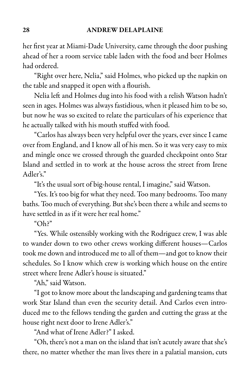her first year at Miami-Dade University, came through the door pushing ahead of her a room service table laden with the food and beer Holmes had ordered.

"Right over here, Nelia," said Holmes, who picked up the napkin on the table and snapped it open with a flourish.

Nelia left and Holmes dug into his food with a relish Watson hadn't seen in ages. Holmes was always fastidious, when it pleased him to be so, but now he was so excited to relate the particulars of his experience that he actually talked with his mouth stuffed with food.

"Carlos has always been very helpful over the years, ever since I came over from England, and I know all of his men. So it was very easy to mix and mingle once we crossed through the guarded checkpoint onto Star Island and settled in to work at the house across the street from Irene Adler's."

"It's the usual sort of big-house rental, I imagine," said Watson.

"Yes. It's too big for what they need. Too many bedrooms. Too many baths. Too much of everything. But she's been there a while and seems to have settled in as if it were her real home."

"Oh?"

"Yes. While ostensibly working with the Rodriguez crew, I was able to wander down to two other crews working different houses—Carlos took me down and introduced meto all of them—and got to know their schedules. So I know which crew is working which house on the entire street where Irene Adler's house is situated."

"Ah," said Watson.

"I got to know more about the landscaping and gardening teams that work Star Island than even the security detail. And Carlos even introduced me to the fellows tending the garden and cutting the grass at the house right next door to Irene Adler's."

"And what of Irene Adler?" I asked.

"Oh, there's not a man on the island that isn't acutely aware that she's there, no matter whether the man lives there in a palatial mansion, cuts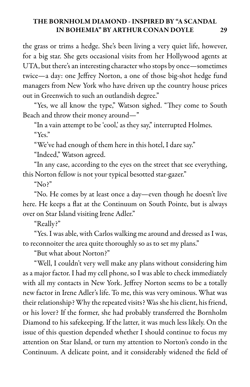the grass or trims a hedge. She's been living a very quiet life, however, for a big star. She gets occasional visits from her Hollywood agents at UTA, but there's an interesting character who stops by once—sometimes twice—a day: one Jeffrey Norton, a one of those big-shot hedge fund managers from New York who have driven up the country house prices out in Greenwich to such an outlandish degree."

"Yes, we all know the type," Watson sighed. "They come to South Beach and throw their money around—"

"In a vain attempt to be 'cool,' as they say," interrupted Holmes. "Yes."

"We've had enough of them here in this hotel, I dare say."

"Indeed," Watson agreed.

"In any case, according to the eyes on the street that see everything, this Norton fellow is not your typical besotted star-gazer."

" $No?$ "

"No. He comes by at least once a day—even though he doesn't live here. He keeps a flat at the Continuum on South Pointe, but is always over on Star Island visiting Irene Adler."

"Really?"

"Yes. I was able, with Carlos walking me around and dressed as I was, to reconnoiter the area quite thoroughly so as to set my plans."

"But what about Norton?"

"Well, I couldn't very well make any plans without considering him as a major factor. I had my cell phone, so I was able to check immediately with all my contacts in New York. Jeffrey Norton seems to be a totally new factor in Irene Adler's life. To me, this was very ominous. What was their relationship? Why the repeated visits? Was she his client, his friend, or his lover? If the former, she had probably transferred the Bornholm Diamond to his safekeeping. If the latter, it was much less likely. On the issue of this question depended whether I should continue to focus my attention on Star Island, or turn my attention to Norton's condo in the Continuum. A delicate point, and it considerably widened the field of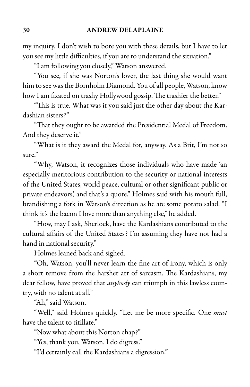my inquiry. I don't wish to bore you with these details, but I have to let you see my little difficulties, if you are to understand the situation."

"I am following you closely," Watson answered.

"You see, if she was Norton's lover, the last thing she would want him to see was the Bornholm Diamond. You of all people, Watson, know how I am fixated on trashy Hollywood gossip. The trashier the better."

"This is true. What was it you said just the other day about the Kardashian sisters?"

"That they ought to be awarded the Presidential Medal of Freedom. And they deserve it."

"What is it they award the Medal for, anyway. As a Brit, I'm not so sure."

"Why, Watson, it recognizes those individuals who have made 'an especially meritorious contribution to the security or national interests of the United States, world peace, cultural or other significant public or private endeavors,' and that's a quote," Holmes said with his mouth full, brandishing a fork in Watson's direction as he ate some potato salad. "I think it's the bacon I love more than anything else," he added.

"How, may I ask, Sherlock, have the Kardashians contributed to the cultural affairs of the United States? I'm assuming they have not had a hand in national security."

Holmes leaned back and sighed.

"Oh, Watson, you'll never learn the fine art of irony, which is only a short remove from the harsher art of sarcasm. The Kardashians, my dear fellow, have proved that *anybody* can triumph in this lawless country, with no talent at all."

"Ah," said Watson.

"Well," said Holmes quickly. "Let me be more specific. One must have the talent to titillate."

"Now what about this Norton chap?"

"Yes, thank you, Watson. I do digress."

"I'd certainly call the Kardashians a digression."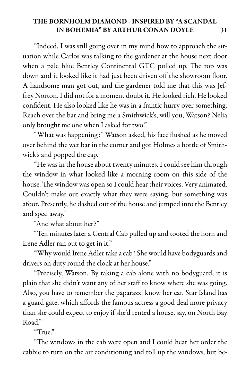"Indeed. I was still going over in my mind how to approach the situation while Carlos was talking to the gardener at the house next door when a pale blue Bentley Continental GTC pulled up. The top was down and it looked like it had just been driven off the showroom floor. A handsome man got out, and the gardener told me that this was Jeffrey Norton. I did not for a moment doubt it. He looked rich. He looked confident. He also looked like he was in a frantic hurry over something. Reach over the bar and bring me a Smithwick's, will you, Watson? Nelia only brought me one when I asked for two."

"What was happening?" Watson asked, his face flushed as he moved over behind the wet bar in the corner and got Holmes a bottle of Smithwick's and popped the cap.

"He was in the house about twenty minutes. I could see him through the window in what looked like a morning room on this side of the house. The window was open so I could hear their voices. Very animated. Couldn't make out exactly what they were saying, but something was afoot. Presently, he dashed out of the houseand jumped into the Bentley and sped away."

"And what about her?"

"Ten minutes later a Central Cab pulled up and tooted the horn and Irene Adler ran out to get in it."

"Why would Irene Adler take a cab? She would have bodyguards and drivers on duty round the clock at her house."

"Precisely, Watson. By taking a cab alone with no bodyguard, it is plain that she didn't want any of her staff to know where she was going. Also, you have to remember the paparazzi know her car. Star Island has a guard gate, which affords the famous actress a good deal more privacy than she could expect to enjoy if she'd rented a house, say, on North Bay Road."

"True."

"The windows in the cab were open and I could hear her order the cabbie to turn on the air conditioning and roll up the windows, but be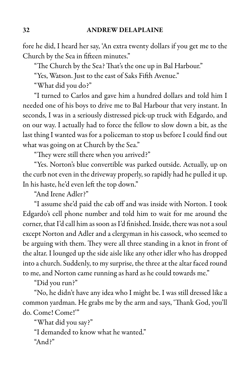fore he did, I heard her say, 'An extra twenty dollars if you get me to the Church by the Sea in fifteen minutes."

"The Church by the Sea? That's the one up in Bal Harbour."

"Yes, Watson. Just to the east of Saks Fifth Avenue."

"What did you do?"

"I turned to Carlos and gave him a hundred dollars and told him I needed one of his boys to drive me to Bal Harbour that very instant. In seconds, I was in a seriously distressed pick-up truck with Edgardo, and on our way. I actually had to force the fellow to slow down a bit, as the last thing I wanted was for a policeman to stop us before I could find out what was going on at Church by the Sea."

"They were still there when you arrived?"

"Yes. Norton's blue convertible was parked outside. Actually, up on the curb not even in the driveway properly, so rapidly had he pulled it up. In his haste, he'd even left the top down."

"And Irene Adler?"

"I assume she'd paid the cab off and was inside with Norton. I took Edgardo's cell phone number and told him to wait for me around the corner, that I'd call him as soon as I'd finished. Inside, there was not a soul except Norton and Adler and a clergyman in his cassock, who seemed to be arguing with them. They were all three standing in a knot in front of the altar. I lounged up the side aisle like any other idler who has dropped into a church. Suddenly, to my surprise, the three at the altar faced round to me, and Norton came running as hard as he could towards me."

"Did you run?"

"No, he didn't have any idea who I might be. I was still dressed like a common yardman. He grabs me by the arm and says, 'Thank God, you'll do. Come! Come!"

"What did you say?"

"I demanded to know what he wanted."

"And?"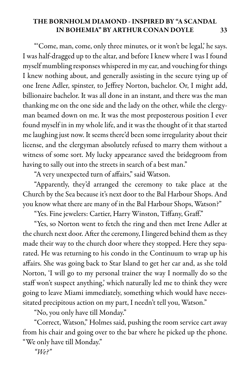"'Come, man, come, only three minutes, or it won't be legal,' he says. I was half-dragged up to the altar, and before I knew where I was I found myself mumbling responses whispered in my ear, and vouching for things I knew nothing about, and generally assisting in the secure tying up of one Irene Adler, spinster, to Jeffrey Norton, bachelor. Or, I might add, billionaire bachelor. It was all done in an instant, and there was the man thanking me on the one side and the lady on the other, while the clergyman beamed down on me. It was the most preposterous position I ever found myself in in my whole life, and it was the thought of it that started me laughing just now. It seems there'd been some irregularity about their license, and the clergyman absolutely refused to marry them without a witness of some sort. My lucky appearance saved the bridegroom from having to sally out into the streets in search of a best man."

"A very unexpected turn of affairs," said Watson.

"Apparently, they'd arranged the ceremony to take place at the Church by the Sea because it's next door to the Bal Harbour Shops. And you know what there are many of in the Bal Harbour Shops, Watson?"

"Yes. Fine jewelers: Cartier, Harry Winston, Tiffany, Graff."

"Yes, so Norton went to fetch the ring and then met Irene Adler at the church next door. After the ceremony, I lingered behind them as they made their way to the church door where they stopped. Here they separated. He was returning to his condo in the Continuum to wrap up his affairs. She was going back to Star Island to get her car and, as she told Norton, 'I will go to my personal trainer the way I normally do so the staff won't suspect anything,' which naturally led me to think they were going to leave Miami immediately, something which would have necessitated precipitous action on my part, I needn't tell you, Watson."

"No, you only have till Monday."

"Correct, Watson," Holmes said, pushing the room service cart away from his chair and going over to the bar where he picked up the phone. "We only have till Monday."

 $W$ e?"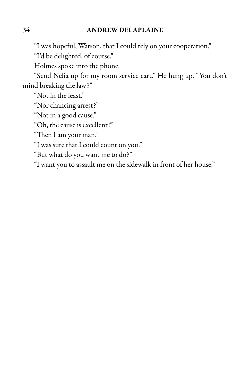"I was hopeful, Watson, that I could rely on your cooperation."

"I'd be delighted, of course."

Holmes spoke into the phone.

"Send Nelia up for my room service cart." He hung up. "You don't mind breaking the law?"

"Not in the least."

"Nor chancing arrest?"

"Not in a good cause."

"Oh, the cause is excellent!"

"Then I am your man."

"I was sure that I could count on you."

"But what do you want me to do?"

"I want you to assault me on the sidewalk in front of her house."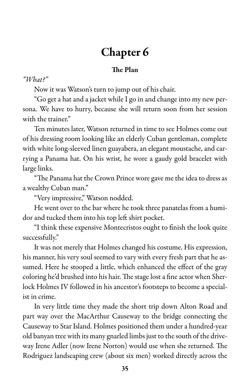# Chapter 6

#### The Plan

#### "What?"

Now it was Watson's turn to jump out of his chair.

"Go get a hat and a jacket while I go in and change into my new persona. We have to hurry, because she will return soon from her session with the trainer."

Ten minutes later, Watson returned in time to see Holmes come out of his dressing room looking like an elderly Cuban gentleman, complete with white long-sleeved linen guayabera, an elegant moustache, and carrying a Panama hat. On his wrist, he wore a gaudy gold bracelet with large links.

"The Panama hat the Crown Prince wore gave me the idea to dress as a wealthy Cuban man."

"Very impressive," Watson nodded.

He went over to the bar where he took three panatelas from a humidor and tucked them into his top left shirt pocket.

"I think these expensive Montecristos ought to finish the look quite successfully."

It was not merely that Holmes changed his costume. His expression, his manner, his very soul seemed to vary with every fresh part that he assumed. Here he stooped a little, which enhanced the effect of the gray coloring he'd brushed into his hair. The stage lost a fine actor when Sherlock Holmes IV followed in his ancestor's footsteps to become a specialist in crime.

In very little time they made the short trip down Alton Road and part way over the MacArthur Causeway to the bridge connecting the Causeway to Star Island. Holmes positioned them under a hundred-year old banyan tree with its many gnarled limbs just to the south of the driveway Irene Adler (now Irene Norton) would use when she returned. The Rodriguez landscaping crew (about six men) worked directly across the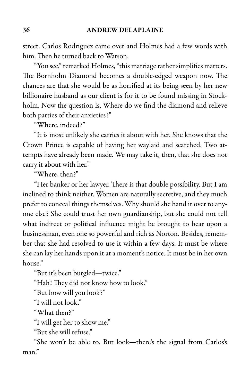street. Carlos Rodriguez came over and Holmes had a few words with him. Then he turned back to Watson.

"You see," remarked Holmes, "this marriage rather simplifies matters. The Bornholm Diamond becomes a double-edged weapon now. The chances are that she would be as horrified at its being seen by her new billionaire husband as our client is for it to be found missing in Stockholm. Now the question is, Where do we find the diamond and relieve both parties of their anxieties?"

"Where, indeed?"

"It is most unlikely she carries it about with her. She knows that the Crown Prince is capable of having her waylaid and searched. Two attempts have already been made. We may take it, then, that she does not carry it about with her."

"Where, then?"

"Her banker or her lawyer. There is that double possibility. But I am inclined to think neither. Women are naturally secretive, and they much prefer to conceal things themselves. Why should she hand it over to anyone else? She could trust her own guardianship, but she could not tell what indirect or political influence might be brought to bear upon a businessman, even one so powerful and rich as Norton. Besides, remember that she had resolved to use it within a few days. It must be where she can lay her hands upon it at a moment's notice. It must be in her own house."

"But it's been burgled—twice."

"Hah! They did not know how to look."

"But how will you look?"

"I will not look."

"What then?"

"I will get her to show me."

"But she will refuse."

"She won't be able to. But look—there's the signal from Carlos's man."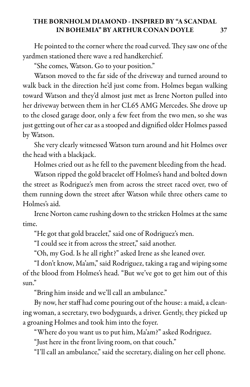He pointed to the corner where the road curved. They saw one of the yardmen stationed there wave a red handkerchief.

"She comes, Watson. Go to your position."

Watson moved to the far side of the driveway and turned around to walk back in the direction he'd just come from. Holmes began walking toward Watson and they'd almost just met as Irene Norton pulled into her driveway between them in her CL65 AMG Mercedes. She drove up to the closed garage door, only a few feet from the two men, so she was just getting out of her car as a stooped and dignified older Holmes passed by Watson.

She very clearly witnessed Watson turn around and hit Holmes over the head with a blackjack.

Holmes cried out as he fell to the pavement bleeding from the head.

Watson ripped the gold bracelet off Holmes's hand and bolted down the street as Rodriguez's men from across the street raced over, two of them running down the street after Watson while three others came to Holmes's aid.

Irene Norton came rushing down to the stricken Holmes at the same time.

"He got that gold bracelet," said one of Rodriguez's men.

"I could see it from across the street," said another.

"Oh, my God. Is he all right?" asked Irene as she leaned over.

"I don't know, Ma'am," said Rodriguez, taking arag and wiping some of the blood from Holmes's head. "But we've got to get him out of this sun."

"Bring him inside and we'll call an ambulance."

By now, her staff had come pouring out of the house: a maid, a cleaning woman, a secretary, two bodyguards, a driver. Gently, they picked up a groaning Holmes and took him into the foyer.

"Where do you want us to put him, Ma'am?" asked Rodriguez.

"Just here in the front living room, on that couch."

"I'll call an ambulance," said the secretary, dialing on her cell phone.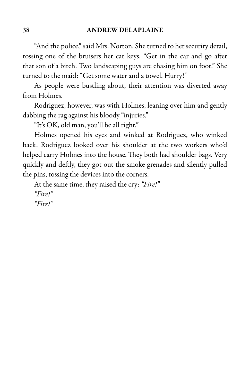"And the police," said Mrs. Norton. She turned to her security detail, tossing one of the bruisers her car keys. "Get in the car and go after that son of a bitch. Two landscaping guys are chasing him on foot." She turned to the maid: "Get some water and a towel. Hurry!"

As people were bustling about, their attention was diverted away from Holmes.

Rodriguez, however, was with Holmes, leaning over him and gently dabbing the rag against his bloody "injuries."

"It's OK, old man, you'll be all right."

Holmes opened his eyes and winked at Rodriguez, who winked back. Rodriguez looked over his shoulder at the two workers who'd helped carry Holmes into the house. They both had shoulder bags. Very quickly and deftly, they got out the smoke grenades and silently pulled the pins, tossing the devices into the corners.

At the same time, they raised the cry: "Fire!" "Fire!" "Fire!"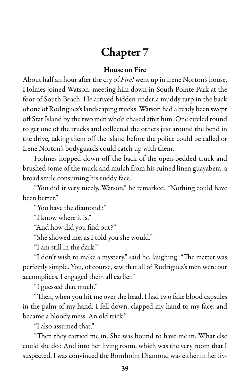# Chapter 7

#### House on Fire

About half an hour after the cry of Fire! went up in Irene Norton's house, Holmes joined Watson, meeting him down in South Pointe Park at the foot of South Beach. He arrived hidden under a muddy tarp in the back of one of Rodriguez's landscaping trucks. Watson had already been swept off Star Island by the two men who'd chased after him. One circled round to get one of the trucks and collected the others just around the bend in the drive, taking them off the island before the police could be called or Irene Norton's bodyguards could catch up with them.

Holmes hopped down off the back of the open-bedded truck and brushed some of the muck and mulch from his ruined linen guayabera, a broad smile consuming his ruddy face.

"You did it very nicely, Watson," he remarked. "Nothing could have been better."

"You have the diamond?"

"I know where it is."

"And how did you find out?"

"She showed me, as I told you she would."

"I am still in the dark."

"I don't wish to make a mystery," said he, laughing. "The matter was perfectly simple. You, of course, saw that all of Rodriguez's men were our accomplices. I engaged them all earlier."

"I guessed that much."

"Then, when you hit me over the head, I had two fake blood capsules in the palm of my hand. I fell down, clapped my hand to my face, and became a bloody mess. An old trick."

"I also assumed that."

"Then they carried me in. She was bound to have me in. What else could she do? And into her living room, which was the very room that I suspected. I was convinced the Bornholm Diamond was either in her liv-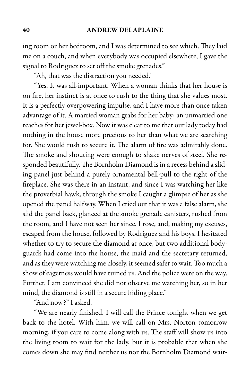#### 40 ANDREW DELAPLAINE

ing room or her bedroom, and I was determined to see which. They laid me on a couch, and when everybody was occupied elsewhere, I gave the signal to Rodriguez to set off the smoke grenades."

"Ah, that was the distraction you needed."

"Yes. It was all-important. When a woman thinks that her house is on fire, her instinct is at once to rush to the thing that she values most. It is a perfectly overpowering impulse, and I have more than once taken advantage of it. A married woman grabs for her baby; an unmarried one reaches for her jewel-box. Now it was clear to me that our lady today had nothing in the house more precious to her than what we are searching for. She would rush to secure it. The alarm of fire was admirably done. The smoke and shouting were enough to shake nerves of steel. She responded beautifully. The Bornholm Diamond is in a recess behind a sliding panel just behind a purely ornamental bell-pull to the right of the fireplace. She was there in an instant, and since I was watching her like the proverbial hawk, through the smoke I caught a glimpse of her as she opened the panel halfway. When I cried out that it was a false alarm, she slid the panel back, glanced at the smoke grenade canisters, rushed from the room, and I have not seen her since. I rose, and, making my excuses, escaped from the house, followed by Rodriguez and his boys. I hesitated whether to try to secure the diamond at once, but two additional bodyguards had come into the house, the maid and the secretary returned, and as they were watching meclosely, it seemed safer to wait. Too much a show of eagerness would have ruined us. And the police were on the way. Further, I am convinced she did not observe me watching her, so in her mind, the diamond is still in a secure hiding place."

"And now?" I asked.

"We are nearly finished. I will call the Prince tonight when we get back to the hotel. With him, we will call on Mrs. Norton tomorrow morning, if you care to come along with us. The staff will show us into the living room to wait for the lady, but it is probable that when she comes down she may find neither us nor the Bornholm Diamond wait-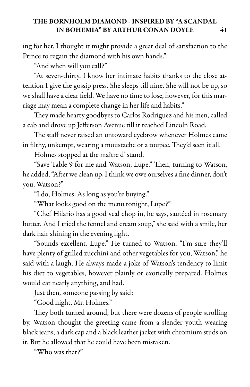ing for her. I thought it might provide a great deal of satisfaction to the Prince to regain the diamond with his own hands."

"And when will you call?"

"At seven-thirty. I know her intimate habits thanks to the close attention I give the gossip press. She sleeps till nine. She will not be up, so we shall have a clear field. We have no time to lose, however, for this marriage may mean a complete change in her life and habits."

They made hearty goodbyes to Carlos Rodriguez and his men, called a cab and drove up Jefferson Avenue till it reached Lincoln Road.

The staff never raised an untoward eyebrow whenever Holmes came in filthy, unkempt, wearing a moustache or a toupee. They'd seen it all.

Holmes stopped at the maître d' stand.

"Save Table 9 for me and Watson, Lupe." Then, turning to Watson, he added, "After we clean up, I think we owe ourselves a fine dinner, don't you, Watson?"

"I do, Holmes. As long as you're buying."

"What looks good on the menu tonight, Lupe?"

"Chef Hilario has a good veal chop in, he says, sautéed in rosemary butter. And I tried the fennel and cream soup," she said with a smile, her dark hair shining in the evening light.

"Sounds excellent, Lupe." He turned to Watson. "I'm sure they'll have plenty of grilled zucchini and other vegetables for you, Watson," he said with a laugh. He always made a joke of Watson's tendency to limit his diet to vegetables, however plainly or exotically prepared. Holmes would eat nearly anything, and had.

Just then, someone passing by said:

"Good night, Mr. Holmes."

They both turned around, but there were dozens of people strolling by. Watson thought the greeting came from a slender youth wearing black jeans, a dark cap and a black leather jacket with chromium studs on it. But he allowed that he could have been mistaken.

"Who was that?"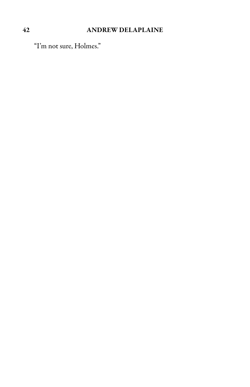### 42 ANDREW DELAPLAINE

"I'm not sure, Holmes."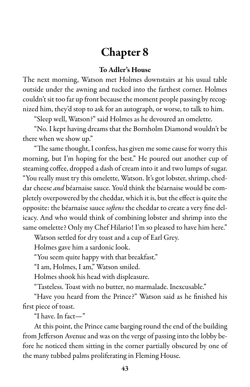# Chapter 8

#### To Adler's House

The next morning, Watson met Holmes downstairs at his usual table outside under the awning and tucked into the farthest corner. Holmes couldn't sit too far up front because the moment people passing by recognized him, they'd stop to ask for an autograph, or worse, to talk to him.

"Sleep well, Watson?" said Holmes as he devoured an omelette.

"No. I kept having dreams that the Bornholm Diamond wouldn't be there when we show up."

"The same thought, I confess, has given me some cause for worry this morning, but I'm hoping for the best." He poured out another cup of steaming coffee, dropped a dash of cream into it and two lumps of sugar. "You really must try this omelette, Watson. It's got lobster, shrimp, cheddar cheese and béarnaise sauce. You'd think the béarnaise would be completely overpowered by the cheddar, which it is, but the effect is quite the opposite: the béarnaise sauce *softens* the cheddar to create a very fine delicacy. And who would think of combining lobster and shrimp into the same omelette? Only my Chef Hilario! I'm so pleased to have him here."

Watson settled for dry toast and a cup of Earl Grey.

Holmes gave him a sardonic look.

"You seem quite happy with that breakfast."

"I am, Holmes, I am," Watson smiled.

Holmes shook his head with displeasure.

"Tasteless. Toast with no butter, no marmalade. Inexcusable."

"Have you heard from the Prince?" Watson said as he finished his first piece of toast.

"I have. In fact—"

At this point, the Prince came barging round the end of the building from Jefferson Avenue and was on the verge of passing into the lobby before he noticed them sitting in the corner partially obscured by one of the many tubbed palms proliferating in Fleming House.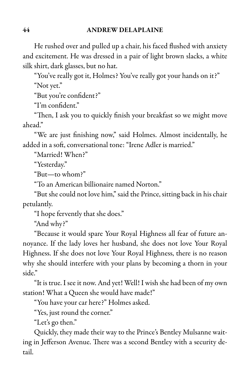He rushed over and pulled up a chair, his faced flushed with anxiety and excitement. He was dressed in a pair of light brown slacks, a white silk shirt, dark glasses, but no hat.

"You've really got it, Holmes? You've really got your hands on it?" "Not yet."

"But you're confident?"

"I'm confident."

"Then, I ask you to quickly finish your breakfast so we might move ahead."

"We are just finishing now," said Holmes. Almost incidentally, he added in a soft, conversational tone: "Irene Adler is married."

"Married! When?"

"Yesterday."

"But—to whom?"

"To an American billionaire named Norton."

"But shecould not love him,"said the Prince, sitting back in hischair petulantly.

"I hope fervently that she does."

"And why?"

"Because it would spare Your Royal Highness all fear of future annoyance. If the lady loves her husband, she does not love Your Royal Highness. If she does not love Your Royal Highness, there is no reason why she should interfere with your plans by becoming a thorn in your side."

"It is true. I seeit now. And yet! Well! I wish she had been of my own station! What a Queen she would have made!"

"You have your car here?" Holmes asked.

"Yes, just round the corner."

"Let's go then."

Quickly, they made their way to the Prince's Bentley Mulsanne waiting in Jefferson Avenue. There was a second Bentley with a security detail.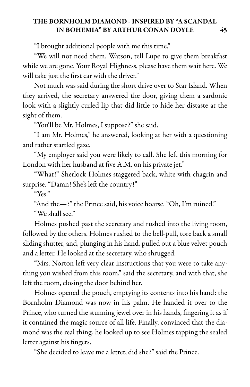"I brought additional people with me this time."

"We will not need them. Watson, tell Lupe to give them breakfast while we are gone. Your Royal Highness, please have them wait here. We will take just the first car with the driver."

Not much was said during the short drive over to Star Island. When they arrived, the secretary answered the door, giving them a sardonic look with a slightly curled lip that did little to hide her distaste at the sight of them.

"You'll be Mr. Holmes, I suppose?" she said.

"I am Mr. Holmes," he answered, looking at her with a questioning and rather startled gaze.

"My employer said you were likely to call. She left this morning for London with her husband at five A.M. on his private jet."

"What!" Sherlock Holmes staggered back, white with chagrin and surprise. "Damn! She's left the country!"

"Yes."

"And the—?" the Prince said, his voice hoarse. "Oh, I'm ruined." "We shall see."

Holmes pushed past the secretary and rushed into the living room, followed by the others. Holmes rushed to the bell-pull, tore back a small sliding shutter, and, plunging in his hand, pulled out a blue velvet pouch and a letter. He looked at the secretary, who shrugged.

"Mrs. Norton left very clear instructions that you were to take anything you wished from this room," said the secretary, and with that, she left the room, closing the door behind her.

Holmes opened the pouch, emptying its contents into his hand: the Bornholm Diamond was now in his palm. He handed it over to the Prince, who turned the stunning jewel over in his hands, fingering it as if it contained the magic source of all life. Finally, convinced that the diamond was the real thing, he looked up to see Holmes tapping the sealed letter against his fingers.

"She decided to leave me a letter, did she?" said the Prince.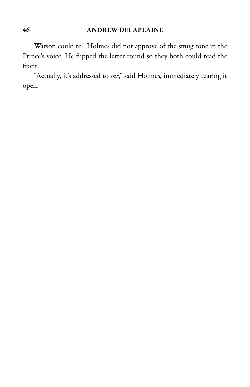#### 46 ANDREW DELAPLAINE

Watson could tell Holmes did not approve of the smug tone in the Prince's voice. He flipped the letter round so they both could read the front.

"Actually, it's addressed to me," said Holmes, immediately tearing it open.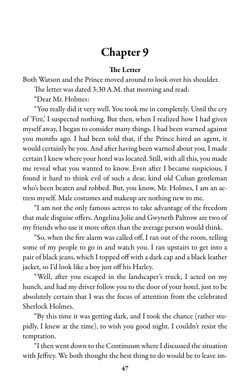# Chapter 9

#### The Letter

Both Watson and the Prince moved around to look over his shoulder. The letter was dated 3:30 A.M. that morning and read:

"Dear Mr. Holmes:

"You really did it very well. You took me in completely. Until the cry of 'Fire,' I suspected nothing. But then, when I realized how I had given myself away, I began to consider many things. I had been warned against you months ago. I had been told that, if the Prince hired an agent, it would certainly be you. And after having been warned about you, I made certain I knew where your hotel was located. Still, with all this, you made me reveal what you wanted to know. Even after I became suspicious, I found it hard to think evil of such a dear, kind old Cuban gentleman who's been beaten and robbed. But, you know, Mr. Holmes, I am an actress myself. Male costumes and makeup are nothing new to me.

"I am not the only famous actress to take advantage of the freedom that male disguise offers. Angelina Jolie and Gwyneth Paltrow are two of my friends who use it more often than the average person would think.

"So, when the fire alarm was called off, I ran out of the room, telling some of my people to go in and watch you. I ran upstairs to get into a pair of black jeans, which I topped off with a dark capand a black leather jacket, so I'd look like a boy just off his Harley.

"Well, after you escaped in the landscaper's truck, I acted on my hunch, and had my driver follow you to the door of your hotel, just to be absolutely certain that I was the focus of attention from the celebrated Sherlock Holmes.

"By this time it was getting dark, and I took the chance (rather stupidly, I knew at the time), to wish you good night. I couldn't resist the temptation.

"I then went down to the Continuum where I discussed the situation with Jeffrey. We both thought the best thing to do would be to leave im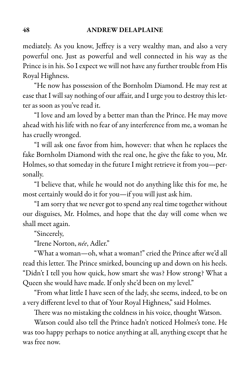mediately. As you know, Jeffrey is a very wealthy man, and also a very powerful one. Just as powerful and well connected in his way as the Prince is in his. So I expect we will not have any further trouble from His Royal Highness.

"He now has possession of the Bornholm Diamond. He may rest at ease that I will say nothing of our affair, and I urge you to destroy this letter as soon as you've read it.

"I love and am loved by a better man than the Prince. He may move ahead with his life with no fear of any interference from me, a woman he has cruelly wronged.

"I will ask one favor from him, however: that when he replaces the fake Bornholm Diamond with the real one, he give the fake to you, Mr. Holmes, so that someday in the future I might retrieve it from you-personally.

"I believe that, while he would not do anything like this for me, he most certainly would do it for you—if you will just ask him.

"Iam sorry that we never got to spend any real timetogether without our disguises, Mr. Holmes, and hope that the day will come when we shall meet again.

"Sincerely,

"Irene Norton, née, Adler."

"What a woman—oh, what a woman!" cried the Prince after we'd all read this letter. The Prince smirked, bouncing up and down on his heels. "Didn't I tell you how quick, how smart she was? How strong? What a Queen she would have made. If only she'd been on my level."

"From what little I have seen of the lady, she seems, indeed, to be on a very different level to that of Your Royal Highness," said Holmes.

There was no mistaking the coldness in his voice, thought Watson.

Watson could also tell the Prince hadn't noticed Holmes's tone. He was too happy perhaps to notice anything at all, anything except that he was free now.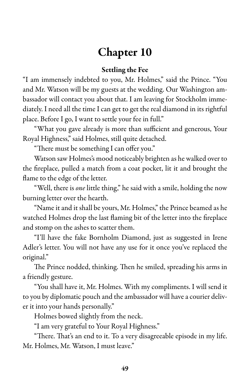# Chapter 10

#### Settling the Fee

"I am immensely indebted to you, Mr. Holmes," said the Prince. "You and Mr. Watson will be my guests at the wedding. Our Washington ambassador will contact you about that. I am leaving for Stockholm immediately. I need all the time I can get to get the real diamond in its rightful place. Before I go, I want to settle your fee in full."

"What you gave already is more than sufficient and generous, Your Royal Highness," said Holmes, still quite detached.

"There must be something I can offer you."

Watson saw Holmes's mood noticeably brighten as he walked over to the fireplace, pulled a match from a coat pocket, lit it and brought the flame to the edge of the letter.

"Well, there is one little thing," he said with a smile, holding the now burning letter over the hearth.

"Name it and it shall be yours, Mr. Holmes," the Prince beamed as he watched Holmes drop the last flaming bit of the letter into the fireplace and stomp on the ashes to scatter them.

"I'll have the fake Bornholm Diamond, just as suggested in Irene Adler's letter. You will not have any use for it once you've replaced the original."

The Prince nodded, thinking. Then he smiled, spreading his arms in a friendly gesture.

"You shall have it, Mr. Holmes. With my compliments. I will send it to you by diplomatic pouch and the ambassador will have a courier deliver it into your hands personally."

Holmes bowed slightly from the neck.

"I am very grateful to Your Royal Highness."

"There. That's an end to it. To a very disagreeable episode in my life. Mr. Holmes, Mr. Watson, I must leave."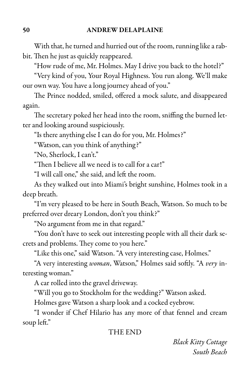With that, he turned and hurried out of the room, running like a rabbit. Then he just as quickly reappeared.

"How rude of me, Mr. Holmes. May I drive you back to the hotel?"

"Very kind of you, Your Royal Highness. You run along. We'll make our own way. You have a long journey ahead of you."

The Prince nodded, smiled, offered a mock salute, and disappeared again.

The secretary poked her head into the room, sniffing the burned letter and looking around suspiciously.

"Is there anything else I can do for you, Mr. Holmes?"

"Watson, can you think of anything?"

"No, Sherlock, I can't."

"Then I believe all we need is to call for a car!"

"I will call one," she said, and left the room.

As they walked out into Miami's bright sunshine, Holmes took in a deep breath.

"I'm very pleased to be here in South Beach, Watson. So much to be preferred over dreary London, don't you think?"

"No argument from me in that regard."

"You don't have to seek out interesting people with all their dark secrets and problems. They come to you here."

"Like this one," said Watson. "A very interesting case, Holmes."

"A very interesting woman, Watson," Holmes said softly. "A very interesting woman."

A car rolled into the gravel driveway.

"Will you go to Stockholm for the wedding?" Watson asked.

Holmes gave Watson a sharp look and a cocked eyebrow.

"I wonder if Chef Hilario has any more of that fennel and cream soup left."

#### THE END

### Black Kitty Cottage South Beach